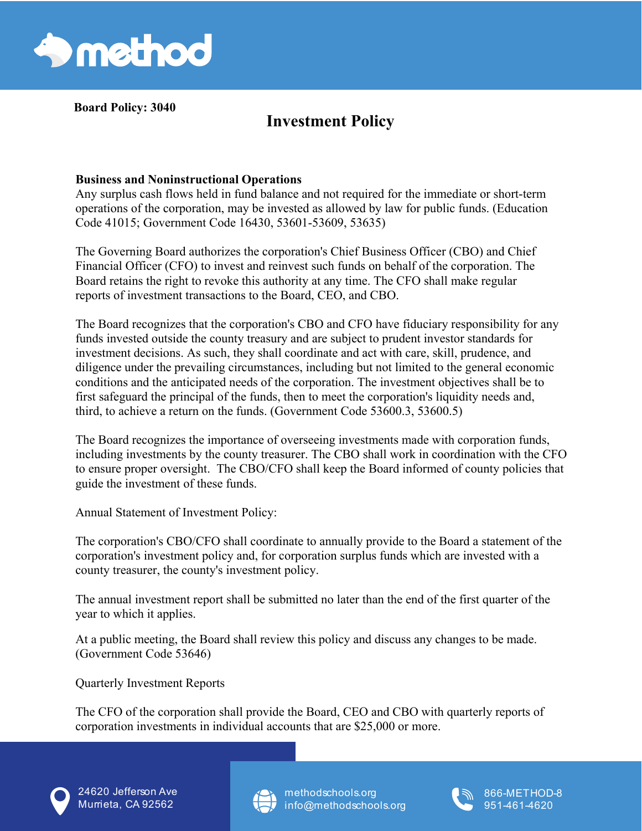

**Board Policy: 3040** 

## **Investment Policy**

## **Business and Noninstructional Operations**

Any surplus cash flows held in fund balance and not required for the immediate or short-term operations of the corporation, may be invested as allowed by law for public funds. (Education Code 41015; Government Code 16430, 53601-53609, 53635)

The Governing Board authorizes the corporation's Chief Business Officer (CBO) and Chief Financial Officer (CFO) to invest and reinvest such funds on behalf of the corporation. The Board retains the right to revoke this authority at any time. The CFO shall make regular reports of investment transactions to the Board, CEO, and CBO.

The Board recognizes that the corporation's CBO and CFO have fiduciary responsibility for any funds invested outside the county treasury and are subject to prudent investor standards for investment decisions. As such, they shall coordinate and act with care, skill, prudence, and diligence under the prevailing circumstances, including but not limited to the general economic conditions and the anticipated needs of the corporation. The investment objectives shall be to first safeguard the principal of the funds, then to meet the corporation's liquidity needs and, third, to achieve a return on the funds. (Government Code 53600.3, 53600.5)

The Board recognizes the importance of overseeing investments made with corporation funds, including investments by the county treasurer. The CBO shall work in coordination with the CFO to ensure proper oversight. The CBO/CFO shall keep the Board informed of county policies that guide the investment of these funds.

Annual Statement of Investment Policy:

The corporation's CBO/CFO shall coordinate to annually provide to the Board a statement of the corporation's investment policy and, for corporation surplus funds which are invested with a county treasurer, the county's investment policy.

The annual investment report shall be submitted no later than the end of the first quarter of the year to which it applies.

At a public meeting, the Board shall review this policy and discuss any changes to be made. (Government Code 53646)

Quarterly Investment Reports

The CFO of the corporation shall provide the Board, CEO and CBO with quarterly reports of corporation investments in individual accounts that are \$25,000 or more.